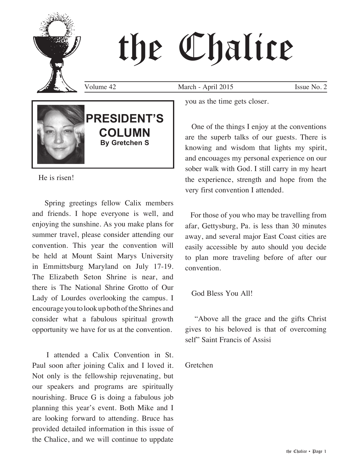# the Chalice

Volume 42 March - April 2015 Issue No. 2



He is risen!

 Spring greetings fellow Calix members and friends. I hope everyone is well, and enjoying the sunshine. As you make plans for summer travel, please consider attending our convention. This year the convention will be held at Mount Saint Marys University in Emmittsburg Maryland on July 17-19. The Elizabeth Seton Shrine is near, and there is The National Shrine Grotto of Our Lady of Lourdes overlooking the campus. I encourage you to look up both of the Shrines and consider what a fabulous spiritual growth opportunity we have for us at the convention.

 I attended a Calix Convention in St. Paul soon after joining Calix and I loved it. Not only is the fellowship rejuvenating, but our speakers and programs are spiritually nourishing. Bruce G is doing a fabulous job planning this year's event. Both Mike and I are looking forward to attending. Bruce has provided detailed information in this issue of the Chalice, and we will continue to uppdate you as the time gets closer.

 One of the things I enjoy at the conventions are the superb talks of our guests. There is knowing and wisdom that lights my spirit, and encouages my personal experience on our sober walk with God. I still carry in my heart the experience, strength and hope from the very first convention I attended.

 For those of you who may be travelling from afar, Gettysburg, Pa. is less than 30 minutes away, and several major East Coast cities are easily accessible by auto should you decide to plan more traveling before of after our convention.

God Bless You All!

 "Above all the grace and the gifts Christ gives to his beloved is that of overcoming self" Saint Francis of Assisi

Gretchen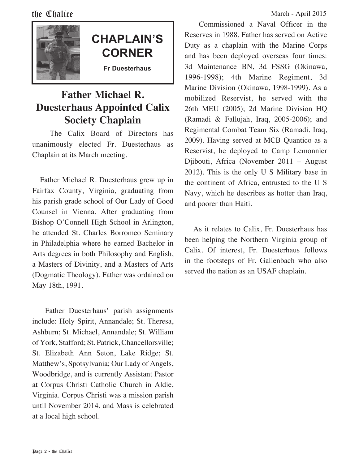## **CHAPLAIN'S CORNER**

**Fr Duesterhaus**

### **Father Michael R. Duesterhaus Appointed Calix Society Chaplain**

 The Calix Board of Directors has unanimously elected Fr. Duesterhaus as Chaplain at its March meeting.

 Father Michael R. Duesterhaus grew up in Fairfax County, Virginia, graduating from his parish grade school of Our Lady of Good Counsel in Vienna. After graduating from Bishop O'Connell High School in Arlington, he attended St. Charles Borromeo Seminary in Philadelphia where he earned Bachelor in Arts degrees in both Philosophy and English, a Masters of Divinity, and a Masters of Arts (Dogmatic Theology). Father was ordained on May 18th, 1991.

 Father Duesterhaus' parish assignments include: Holy Spirit, Annandale; St. Theresa, Ashburn; St. Michael, Annandale; St. William of York, Stafford; St. Patrick, Chancellorsville; St. Elizabeth Ann Seton, Lake Ridge; St. Matthew's, Spotsylvania; Our Lady of Angels, Woodbridge, and is currently Assistant Pastor at Corpus Christi Catholic Church in Aldie, Virginia. Corpus Christi was a mission parish until November 2014, and Mass is celebrated at a local high school.

 Commissioned a Naval Officer in the Reserves in 1988, Father has served on Active Duty as a chaplain with the Marine Corps and has been deployed overseas four times: 3d Maintenance BN, 3d FSSG (Okinawa, 1996-1998); 4th Marine Regiment, 3d Marine Division (Okinawa, 1998-1999). As a mobilized Reservist, he served with the 26th MEU (2005); 2d Marine Division HQ (Ramadi & Fallujah, Iraq, 2005-2006); and Regimental Combat Team Six (Ramadi, Iraq, 2009). Having served at MCB Quantico as a Reservist, he deployed to Camp Lemonnier Djibouti, Africa (November 2011 – August 2012). This is the only U S Military base in the continent of Africa, entrusted to the U S Navy, which he describes as hotter than Iraq, and poorer than Haiti.

 As it relates to Calix, Fr. Duesterhaus has been helping the Northern Virginia group of Calix. Of interest, Fr. Duesterhaus follows in the footsteps of Fr. Gallenbach who also served the nation as an USAF chaplain.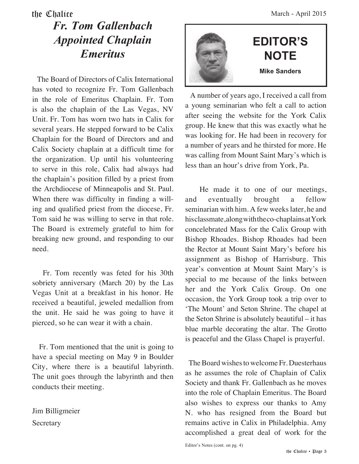#### the Chalice March - April 2015 *Fr. Tom Gallenbach Appointed Chaplain Emeritus*

 The Board of Directors of Calix International has voted to recognize Fr. Tom Gallenbach in the role of Emeritus Chaplain. Fr. Tom is also the chaplain of the Las Vegas, NV Unit. Fr. Tom has worn two hats in Calix for several years. He stepped forward to be Calix Chaplain for the Board of Directors and and Calix Society chaplain at a difficult time for the organization. Up until his volunteering to serve in this role, Calix had always had the chaplain's position filled by a priest from the Archdiocese of Minneapolis and St. Paul. When there was difficulty in finding a willing and qualified priest from the diocese, Fr. Tom said he was willing to serve in that role. The Board is extremely grateful to him for breaking new ground, and responding to our need.

 Fr. Tom recently was feted for his 30th sobriety anniversary (March 20) by the Las Vegas Unit at a breakfast in his honor. He received a beautiful, jeweled medallion from the unit. He said he was going to have it pierced, so he can wear it with a chain.

 Fr. Tom mentioned that the unit is going to have a special meeting on May 9 in Boulder City, where there is a beautiful labyrinth. The unit goes through the labyrinth and then conducts their meeting.

Jim Billigmeier **Secretary** 



 A number of years ago, I received a call from a young seminarian who felt a call to action after seeing the website for the York Calix group. He knew that this was exactly what he was looking for. He had been in recovery for a number of years and he thirsted for more. He was calling from Mount Saint Mary's which is less than an hour's drive from York, Pa.

 He made it to one of our meetings, and eventually brought a fellow seminarian with him. A few weeks later, he and his classmate, along with the co-chaplains at York concelebrated Mass for the Calix Group with Bishop Rhoades. Bishop Rhoades had been the Rector at Mount Saint Mary's before his assignment as Bishop of Harrisburg. This year's convention at Mount Saint Mary's is special to me because of the links between her and the York Calix Group. On one occasion, the York Group took a trip over to 'The Mount' and Seton Shrine. The chapel at the Seton Shrine is absolutely beautiful – it has blue marble decorating the altar. The Grotto is peaceful and the Glass Chapel is prayerful.

 The Board wishes to welcome Fr. Duesterhaus as he assumes the role of Chaplain of Calix Society and thank Fr. Gallenbach as he moves into the role of Chaplain Emeritus. The Board also wishes to express our thanks to Amy N. who has resigned from the Board but remains active in Calix in Philadelphia. Amy accomplished a great deal of work for the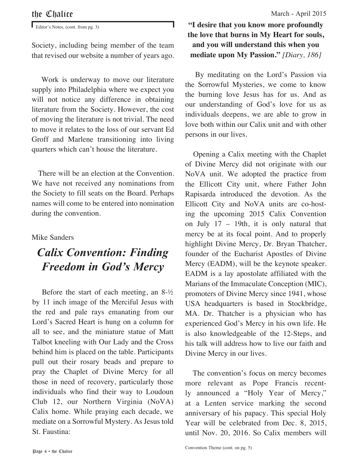Editor's Notes, (cont. from pg. 3)

Society, including being member of the team that revised our website a number of years ago.

 Work is underway to move our literature supply into Philadelphia where we expect you will not notice any difference in obtaining literature from the Society. However, the cost of moving the literature is not trivial. The need to move it relates to the loss of our servant Ed Groff and Marlene transitioning into living quarters which can't house the literature.

 There will be an election at the Convention. We have not received any nominations from the Society to fill seats on the Board. Perhaps names will come to be entered into nomination during the convention.

#### Mike Sanders

### *Calix Convention: Finding Freedom in God's Mercy*

 Before the start of each meeting, an 8-½ by 11 inch image of the Merciful Jesus with the red and pale rays emanating from our Lord's Sacred Heart is hung on a column for all to see, and the miniature statue of Matt Talbot kneeling with Our Lady and the Cross behind him is placed on the table. Participants pull out their rosary beads and prepare to pray the Chaplet of Divine Mercy for all those in need of recovery, particularly those individuals who find their way to Loudoun Club 12, our Northern Virginia (NoVA) Calix home. While praying each decade, we mediate on a Sorrowful Mystery. As Jesus told St. Faustina:

#### **"I desire that you know more profoundly the love that burns in My Heart for souls, and you will understand this when you mediate upon My Passion."** *[Diary, 186]*

 By meditating on the Lord's Passion via the Sorrowful Mysteries, we come to know the burning love Jesus has for us. And as our understanding of God's love for us as individuals deepens, we are able to grow in love both within our Calix unit and with other persons in our lives.

 Opening a Calix meeting with the Chaplet of Divine Mercy did not originate with our NoVA unit. We adopted the practice from the Ellicott City unit, where Father John Rapisarda introduced the devotion. As the Ellicott City and NoVA units are co-hosting the upcoming 2015 Calix Convention on July 17 – 19th, it is only natural that mercy be at its focal point. And to properly highlight Divine Mercy, Dr. Bryan Thatcher, founder of the Eucharist Apostles of Divine Mercy (EADM), will be the keynote speaker. EADM is a lay apostolate affiliated with the Marians of the Immaculate Conception (MIC), promoters of Divine Mercy since 1941, whose USA headquarters is based in Stockbridge, MA. Dr. Thatcher is a physician who has experienced God's Mercy in his own life. He is also knowledgeable of the 12-Steps, and his talk will address how to live our faith and Divine Mercy in our lives.

 The convention's focus on mercy becomes more relevant as Pope Francis recently announced a "Holy Year of Mercy," at a Lenten service marking the second anniversary of his papacy. This special Holy Year will be celebrated from Dec. 8, 2015, until Nov. 20, 2016. So Calix members will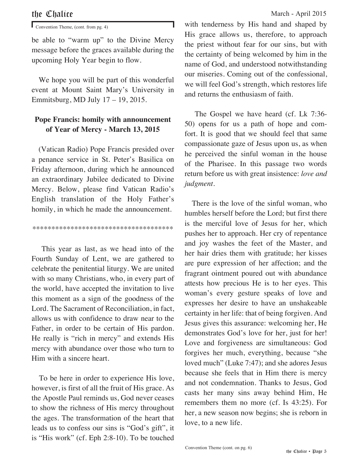Convention Theme, (cont. from pg. 4)

be able to "warm up" to the Divine Mercy message before the graces available during the upcoming Holy Year begin to flow.

 We hope you will be part of this wonderful event at Mount Saint Mary's University in Emmitsburg, MD July 17 – 19, 2015.

#### **Pope Francis: homily with announcement of Year of Mercy - March 13, 2015**

 (Vatican Radio) Pope Francis presided over a penance service in St. Peter's Basilica on Friday afternoon, during which he announced an extraordinary Jubilee dedicated to Divine Mercy. Below, please find Vatican Radio's English translation of the Holy Father's homily, in which he made the announcement.

\*\*\*\*\*\*\*\*\*\*\*\*\*\*\*\*\*\*\*\*\*\*\*\*\*\*\*\*\*\*\*\*\*\*\*\*\*

 This year as last, as we head into of the Fourth Sunday of Lent, we are gathered to celebrate the penitential liturgy. We are united with so many Christians, who, in every part of the world, have accepted the invitation to live this moment as a sign of the goodness of the Lord. The Sacrament of Reconciliation, in fact, allows us with confidence to draw near to the Father, in order to be certain of His pardon. He really is "rich in mercy" and extends His mercy with abundance over those who turn to Him with a sincere heart.

 To be here in order to experience His love, however, is first of all the fruit of His grace. As the Apostle Paul reminds us, God never ceases to show the richness of His mercy throughout the ages. The transformation of the heart that leads us to confess our sins is "God's gift", it is "His work" (cf. Eph 2:8-10). To be touched

with tenderness by His hand and shaped by His grace allows us, therefore, to approach the priest without fear for our sins, but with the certainty of being welcomed by him in the name of God, and understood notwithstanding our miseries. Coming out of the confessional, we will feel God's strength, which restores life and returns the enthusiasm of faith.

 The Gospel we have heard (cf. Lk 7:36- 50) opens for us a path of hope and comfort. It is good that we should feel that same compassionate gaze of Jesus upon us, as when he perceived the sinful woman in the house of the Pharisee. In this passage two words return before us with great insistence: *love and judgment.*

 There is the love of the sinful woman, who humbles herself before the Lord; but first there is the merciful love of Jesus for her, which pushes her to approach. Her cry of repentance and joy washes the feet of the Master, and her hair dries them with gratitude; her kisses are pure expression of her affection; and the fragrant ointment poured out with abundance attests how precious He is to her eyes. This woman's every gesture speaks of love and expresses her desire to have an unshakeable certainty in her life: that of being forgiven. And Jesus gives this assurance: welcoming her, He demonstrates God's love for her, just for her! Love and forgiveness are simultaneous: God forgives her much, everything, because "she loved much" (Luke 7:47); and she adores Jesus because she feels that in Him there is mercy and not condemnation. Thanks to Jesus, God casts her many sins away behind Him, He remembers them no more (cf. Is 43:25). For her, a new season now begins; she is reborn in love, to a new life.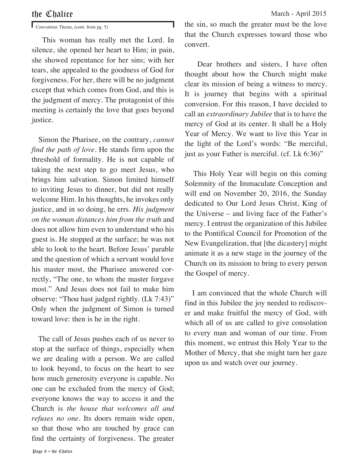Convention Theme, (cont. from pg. 5)

 This woman has really met the Lord. In silence, she opened her heart to Him; in pain, she showed repentance for her sins; with her tears, she appealed to the goodness of God for forgiveness. For her, there will be no judgment except that which comes from God, and this is the judgment of mercy. The protagonist of this meeting is certainly the love that goes beyond justice.

 Simon the Pharisee, on the contrary, *cannot find the path of love*. He stands firm upon the threshold of formality. He is not capable of taking the next step to go meet Jesus, who brings him salvation. Simon limited himself to inviting Jesus to dinner, but did not really welcome Him. In his thoughts, he invokes only justice, and in so doing, he errs. *His judgment on the woman distances him from the truth* and does not allow him even to understand who his guest is. He stopped at the surface; he was not able to look to the heart. Before Jesus' parable and the question of which a servant would love his master most, the Pharisee answered correctly, "The one, to whom the master forgave most." And Jesus does not fail to make him observe: "Thou hast judged rightly. (Lk 7:43)" Only when the judgment of Simon is turned toward love: then is he in the right.

 The call of Jesus pushes each of us never to stop at the surface of things, especially when we are dealing with a person. We are called to look beyond, to focus on the heart to see how much generosity everyone is capable. No one can be excluded from the mercy of God; everyone knows the way to access it and the Church is *the house that welcomes all and refuses no one*. Its doors remain wide open, so that those who are touched by grace can find the certainty of forgiveness. The greater

the sin, so much the greater must be the love that the Church expresses toward those who convert.

 Dear brothers and sisters, I have often thought about how the Church might make clear its mission of being a witness to mercy. It is journey that begins with a spiritual conversion. For this reason, I have decided to call an *extraordinary Jubilee* that is to have the mercy of God at its center. It shall be a Holy Year of Mercy. We want to live this Year in the light of the Lord's words: "Be merciful, just as your Father is merciful. (cf. Lk 6:36)"

 This Holy Year will begin on this coming Solemnity of the Immaculate Conception and will end on November 20, 2016, the Sunday dedicated to Our Lord Jesus Christ, King of the Universe – and living face of the Father's mercy. I entrust the organization of this Jubilee to the Pontifical Council for Promotion of the New Evangelization, that [the dicastery] might animate it as a new stage in the journey of the Church on its mission to bring to every person the Gospel of mercy.

 I am convinced that the whole Church will find in this Jubilee the joy needed to rediscover and make fruitful the mercy of God, with which all of us are called to give consolation to every man and woman of our time. From this moment, we entrust this Holy Year to the Mother of Mercy, that she might turn her gaze upon us and watch over our journey.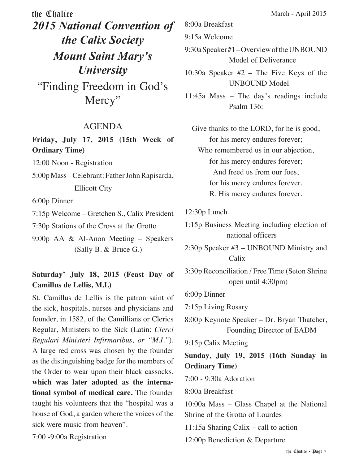the Chalice March - April 2015 *2015 National Convention of the Calix Society Mount Saint Mary's University* "Finding Freedom in God's Mercy"

#### AGENDA

**Friday, July 17, 2015 (15th Week of Ordinary Time)**

12:00 Noon - Registration

5:00p Mass – Celebrant: Father John Rapisarda, Ellicott City

6:00p Dinner

7:15p Welcome – Gretchen S., Calix President

7:30p Stations of the Cross at the Grotto

9:00p AA & Al-Anon Meeting – Speakers (Sally B. & Bruce G.)

#### **Saturday' July 18, 2015 (Feast Day of Camillus de Lellis, M.I.)**

St. Camillus de Lellis is the patron saint of the sick, hospitals, nurses and physicians and founder, in 1582, of the Camillians or Clerics Regular, Ministers to the Sick (Latin: *Clerci Regulari Ministeri Infirmaribus, or "M.I."*). A large red cross was chosen by the founder as the distinguishing badge for the members of the Order to wear upon their black cassocks, **which was later adopted as the international symbol of medical care.** The founder taught his volunteers that the "hospital was a house of God, a garden where the voices of the sick were music from heaven".

7:00 -9:00a Registration

8:00a Breakfast

9:15a Welcome

- 9:30a Speaker #1 Overview of the UNBOUND Model of Deliverance
- 10:30a Speaker #2 The Five Keys of the UNBOUND Model
- 11:45a Mass The day's readings include Psalm 136:

Give thanks to the LORD, for he is good, for his mercy endures forever; Who remembered us in our abjection, for his mercy endures forever; And freed us from our foes, for his mercy endures forever. R. His mercy endures forever.

- 12:30p Lunch
- 1:15p Business Meeting including election of national officers
- 2:30p Speaker #3 UNBOUND Ministry and Calix
- 3:30p Reconciliation / Free Time (Seton Shrine open until 4:30pm)

6:00p Dinner

7:15p Living Rosary

8:00p Keynote Speaker – Dr. Bryan Thatcher, Founding Director of EADM

9:15p Calix Meeting

#### **Sunday, July 19, 2015 (16th Sunday in Ordinary Time)**

7:00 - 9:30a Adoration

8:00a Breakfast

10:00a Mass – Glass Chapel at the National Shrine of the Grotto of Lourdes

11:15a Sharing Calix – call to action

12:00p Benediction & Departure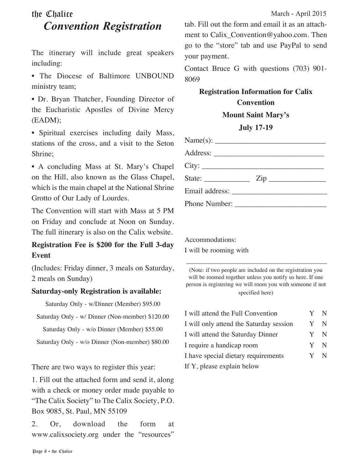#### the Chalice March - April 2015 *Convention Registration*

The itinerary will include great speakers including:

• The Diocese of Baltimore UNBOUND ministry team;

• Dr. Bryan Thatcher, Founding Director of the Eucharistic Apostles of Divine Mercy (EADM);

• Spiritual exercises including daily Mass, stations of the cross, and a visit to the Seton Shrine;

• A concluding Mass at St. Mary's Chapel on the Hill, also known as the Glass Chapel, which is the main chapel at the National Shrine Grotto of Our Lady of Lourdes.

The Convention will start with Mass at 5 PM on Friday and conclude at Noon on Sunday. The full itinerary is also on the Calix website.

#### **Registration Fee is \$200 for the Full 3-day Event**

(Includes: Friday dinner, 3 meals on Saturday, 2 meals on Sunday)

#### **Saturday-only Registration is available:**

Saturday Only - w/Dinner (Member) \$95.00

Saturday Only - w/ Dinner (Non-member) \$120.00

Saturday Only - w/o Dinner (Member) \$55.00

Saturday Only - w/o Dinner (Non-member) \$80.00

There are two ways to register this year:

1. Fill out the attached form and send it, along with a check or money order made payable to "The Calix Society" to The Calix Society, P.O. Box 9085, St. Paul, MN 55109

2. Or, download the form at www.calixsociety.org under the "resources" tab. Fill out the form and email it as an attachment to Calix\_Convention@yahoo.com. Then go to the "store" tab and use PayPal to send your payment.

Contact Bruce G with questions (703) 901- 8069

#### **Registration Information for Calix Convention**

**Mount Saint Mary's**

#### **July 17-19**

| State: $\frac{Zip - \cdots}{i}$ $\frac{Zip - \cdots}{i}$ |  |  |
|----------------------------------------------------------|--|--|
|                                                          |  |  |
|                                                          |  |  |

Accommodations: I will be rooming with

(Note: if two people are included on the registration you will be roomed together unless you notify us here. If one person is registering we will room you with someone if not specified here)

 $\overline{\phantom{a}}$  , and the set of the set of the set of the set of the set of the set of the set of the set of the set of the set of the set of the set of the set of the set of the set of the set of the set of the set of the s

| I will attend the Full Convention       |  | Y N |
|-----------------------------------------|--|-----|
| I will only attend the Saturday session |  | Y N |
| I will attend the Saturday Dinner       |  | Y N |
| I require a handicap room               |  | Y N |
| I have special dietary requirements     |  | Y N |
| If Y, please explain below              |  |     |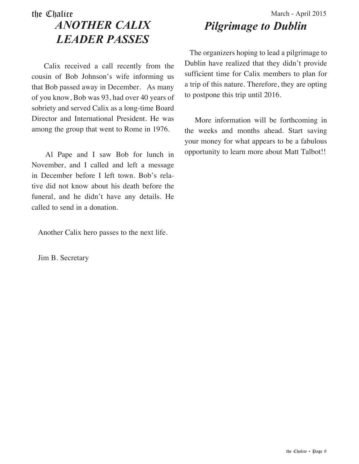#### the Chalice March - April 2015 *ANOTHER CALIX LEADER PASSES*

 Calix received a call recently from the cousin of Bob Johnson's wife informing us that Bob passed away in December. As many of you know, Bob was 93, had over 40 years of sobriety and served Calix as a long-time Board Director and International President. He was among the group that went to Rome in 1976.

 Al Pape and I saw Bob for lunch in November, and I called and left a message in December before I left town. Bob's relative did not know about his death before the funeral, and he didn't have any details. He called to send in a donation.

Another Calix hero passes to the next life.

Jim B. Secretary

# *Pilgrimage to Dublin*

 The organizers hoping to lead a pilgrimage to Dublin have realized that they didn't provide sufficient time for Calix members to plan for a trip of this nature. Therefore, they are opting to postpone this trip until 2016.

 More information will be forthcoming in the weeks and months ahead. Start saving your money for what appears to be a fabulous opportunity to learn more about Matt Talbot!!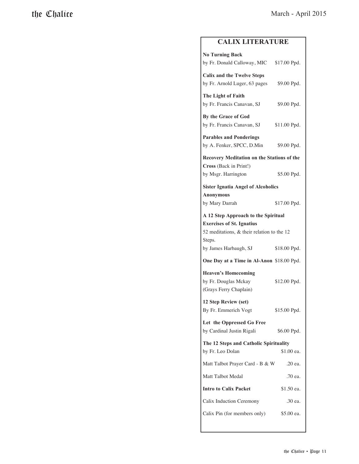#### **CALIX LITERATURE**

| <b>No Turning Back</b><br>by Fr. Donald Calloway, MIC \$17.00 Ppd.                                                                 |              |  |  |  |
|------------------------------------------------------------------------------------------------------------------------------------|--------------|--|--|--|
| <b>Calix and the Twelve Steps</b><br>by Fr. Arnold Luger, 63 pages                                                                 | \$9.00 Ppd.  |  |  |  |
| The Light of Faith                                                                                                                 |              |  |  |  |
| by Fr. Francis Canavan, SJ                                                                                                         | \$9.00 Ppd.  |  |  |  |
| By the Grace of God<br>by Fr. Francis Canavan, SJ                                                                                  | \$11.00 Ppd. |  |  |  |
| <b>Parables and Ponderings</b><br>by A. Fenker, SPCC, D.Min                                                                        | \$9.00 Ppd.  |  |  |  |
| Recovery Meditation on the Stations of the<br>Cross (Back in Print!)                                                               |              |  |  |  |
| by Msgr. Harrington                                                                                                                | \$5.00 Ppd.  |  |  |  |
| <b>Sister Ignatia Angel of Alcoholics</b><br><b>Anonymous</b>                                                                      |              |  |  |  |
| by Mary Darrah                                                                                                                     | \$17.00 Ppd. |  |  |  |
| A 12 Step Approach to the Spiritual<br><b>Exercises of St. Ignatius</b><br>52 meditations, $\&$ their relation to the 12<br>Steps. |              |  |  |  |
| by James Harbaugh, SJ                                                                                                              | \$18.00 Ppd. |  |  |  |
| One Day at a Time in Al-Anon \$18.00 Ppd.                                                                                          |              |  |  |  |
| <b>Heaven's Homecoming</b><br>by Fr. Douglas Mckay<br>(Grays Ferry Chaplain)                                                       | \$12.00 Ppd. |  |  |  |
| 12 Step Review (set)<br>By Fr. Emmerich Vogt                                                                                       | \$15.00 Ppd. |  |  |  |
| Let the Oppressed Go Free<br>by Cardinal Justin Rigali                                                                             | \$6.00 Ppd.  |  |  |  |
| The 12 Steps and Catholic Spirituality<br>by Fr. Leo Dolan                                                                         | \$1.00 ea.   |  |  |  |
| Matt Talbot Prayer Card - B & W                                                                                                    | .20 ea.      |  |  |  |
| Matt Talbot Medal                                                                                                                  | .70 ea.      |  |  |  |
| <b>Intro to Calix Packet</b><br>\$1.50 ea.                                                                                         |              |  |  |  |
| Calix Induction Ceremony                                                                                                           | .30 ea.      |  |  |  |
| Calix Pin (for members only)                                                                                                       | \$5.00 ea.   |  |  |  |